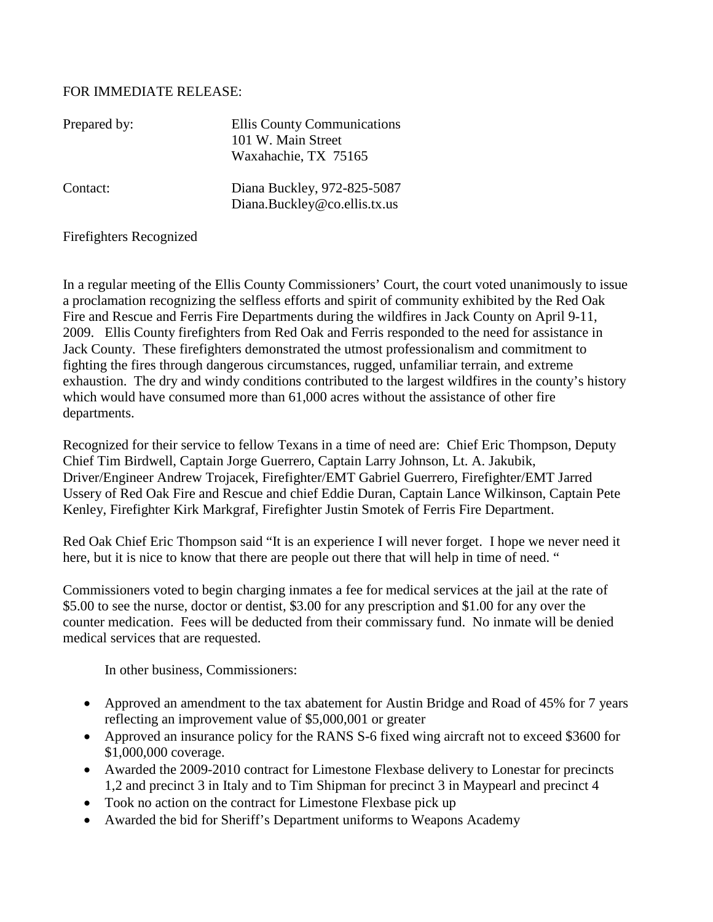## FOR IMMEDIATE RELEASE:

| Prepared by: | Ellis County Communications<br>101 W. Main Street<br>Waxahachie, TX 75165 |
|--------------|---------------------------------------------------------------------------|
| Contact:     | Diana Buckley, 972-825-5087<br>Diana.Buckley@co.ellis.tx.us               |

## Firefighters Recognized

In a regular meeting of the Ellis County Commissioners' Court, the court voted unanimously to issue a proclamation recognizing the selfless efforts and spirit of community exhibited by the Red Oak Fire and Rescue and Ferris Fire Departments during the wildfires in Jack County on April 9-11, 2009. Ellis County firefighters from Red Oak and Ferris responded to the need for assistance in Jack County. These firefighters demonstrated the utmost professionalism and commitment to fighting the fires through dangerous circumstances, rugged, unfamiliar terrain, and extreme exhaustion. The dry and windy conditions contributed to the largest wildfires in the county's history which would have consumed more than 61,000 acres without the assistance of other fire departments.

Recognized for their service to fellow Texans in a time of need are: Chief Eric Thompson, Deputy Chief Tim Birdwell, Captain Jorge Guerrero, Captain Larry Johnson, Lt. A. Jakubik, Driver/Engineer Andrew Trojacek, Firefighter/EMT Gabriel Guerrero, Firefighter/EMT Jarred Ussery of Red Oak Fire and Rescue and chief Eddie Duran, Captain Lance Wilkinson, Captain Pete Kenley, Firefighter Kirk Markgraf, Firefighter Justin Smotek of Ferris Fire Department.

Red Oak Chief Eric Thompson said "It is an experience I will never forget. I hope we never need it here, but it is nice to know that there are people out there that will help in time of need. "

Commissioners voted to begin charging inmates a fee for medical services at the jail at the rate of \$5.00 to see the nurse, doctor or dentist, \$3.00 for any prescription and \$1.00 for any over the counter medication. Fees will be deducted from their commissary fund. No inmate will be denied medical services that are requested.

In other business, Commissioners:

- Approved an amendment to the tax abatement for Austin Bridge and Road of 45% for 7 years reflecting an improvement value of \$5,000,001 or greater
- Approved an insurance policy for the RANS S-6 fixed wing aircraft not to exceed \$3600 for \$1,000,000 coverage.
- Awarded the 2009-2010 contract for Limestone Flexbase delivery to Lonestar for precincts 1,2 and precinct 3 in Italy and to Tim Shipman for precinct 3 in Maypearl and precinct 4
- Took no action on the contract for Limestone Flexbase pick up
- Awarded the bid for Sheriff's Department uniforms to Weapons Academy